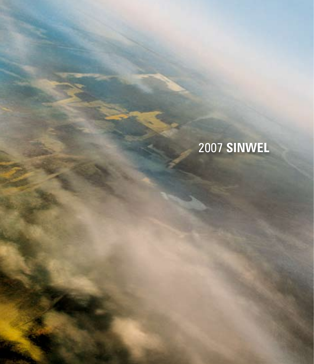## **SINWEL**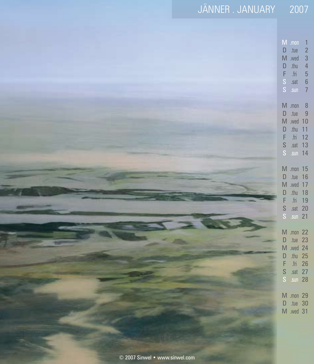| JÄNNER . JANUARY               | 2007                                                                                                                                                                                                                                                                |
|--------------------------------|---------------------------------------------------------------------------------------------------------------------------------------------------------------------------------------------------------------------------------------------------------------------|
|                                | $M$ .mon<br>$\overline{1}$<br>.tue<br>$\overline{c}$<br>$\mathsf D$<br>$\overline{3}$<br>M .wed<br>$\overline{4}$<br>$.$ thu<br>$\mathsf D$<br>$\overline{5}$<br>$\mathsf F$<br>$f_{\rm HI}$<br>$\frac{s}{s}$<br>$\boldsymbol{6}$<br>.sat<br>$\overline{7}$<br>.sun |
|                                | $M$ .mon<br>$\delta$<br>.tue<br>$\overline{9}$<br>$\mathsf D$<br>M .wed 10<br>.thu<br>11<br>$\mathsf D$<br>F<br>12<br>$\ensuremath{\mathsf{fri}}$<br>s<br>s<br>13<br>.sat<br>$sun$ 14                                                                               |
|                                | M .mon 15<br>$\mathsf D$<br>.tue<br>16<br>M .wed 17<br>D<br>.thu<br>18<br>F<br>19<br>.fri<br>$\mathsf{S}$<br>$.sat$ 20<br>S .sun 21                                                                                                                                 |
|                                | M .mon 22<br>$tue$ 23<br>$\Box$<br>M .wed 24<br>$\begin{array}{c} \square \end{array}$<br>.thu $25$<br>F<br>.fri 26<br>S<br>. sat 27<br>$\mathsf{S}$<br>.sun $28$                                                                                                   |
|                                | M .mon 29<br>D .tue 30<br>M .wed 31                                                                                                                                                                                                                                 |
| © 2007 Sinwel • www.sinwel.com |                                                                                                                                                                                                                                                                     |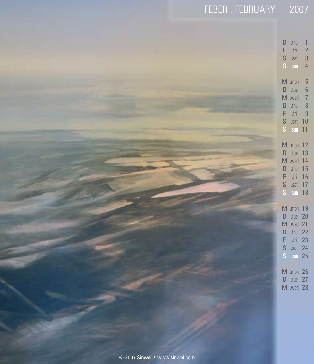| FEBER. FEBRUARY 2007           |                                                                                                                                                                                                                                                                                                                                                                  |
|--------------------------------|------------------------------------------------------------------------------------------------------------------------------------------------------------------------------------------------------------------------------------------------------------------------------------------------------------------------------------------------------------------|
|                                | $D$ .thu<br>$\overline{1}$<br>$\frac{2}{3}$<br>$\mathsf F$<br>$\ensuremath{\mathsf{fri}}$<br>$\mathbb S$<br>.sat<br>$\overline{4}$<br>S<br>$.$ sun                                                                                                                                                                                                               |
|                                | $\sqrt{5}$<br>$M$ .mon<br>$\sqrt{6}$<br>$\mathsf D$<br>.tue<br>$M$ .wed<br>$\overline{7}$<br>8<br>$\mathsf D$<br>.thu<br>$\overline{9}$<br>$\,$ .fri<br>F<br>S .sat 10<br>S .sun 11<br>M .mon 12<br>$D$ .tue 13<br>M .wed 14<br>D .thu 15<br>F .fri 16<br>S .sat 17<br>S .sun 18<br>M .mon 19<br>D .tue 20<br>M .wed 21<br>D .thu 22<br>F .fri 23<br>$S$ .sat 24 |
|                                | $S$ sun 25<br>M .mon 26<br>D .tue 27<br>M .wed 28                                                                                                                                                                                                                                                                                                                |
| © 2007 Sinwel • www.sinwel.com |                                                                                                                                                                                                                                                                                                                                                                  |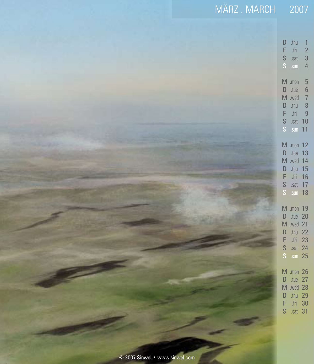| MÄRZ.MARCH 2007                |                                                                                                                                                                                                                                                          |
|--------------------------------|----------------------------------------------------------------------------------------------------------------------------------------------------------------------------------------------------------------------------------------------------------|
|                                |                                                                                                                                                                                                                                                          |
|                                | .thu<br>$\mathsf D$<br>$\mathbf{1}$<br>F<br>$\frac{2}{3}$<br>$\ensuremath{\mathsf{fri}}$<br>$\frac{S}{S}$<br>.sat<br>$\overline{4}$<br>.sun                                                                                                              |
|                                | $M$ .mon<br>$\begin{array}{c} 5 \\ 6 \end{array}$<br>$\mathsf D$<br>.tue<br>$\begin{array}{c} 7 \\ 8 \\ 9 \end{array}$<br>$M$ .wed<br>.thu<br>$\frac{\mathsf{D}}{\mathsf{F}}$<br>$\ensuremath{\mathsf{fri}}$<br>$\frac{S}{S}$<br>$.sat$ 10<br>$.$ sun 11 |
|                                | M .mon 12<br>.tue<br>13<br>$\mathsf D$<br>M .wed 14<br>$\mathsf{D}%$<br>.thu $15$<br>F<br>$\ensuremath{\text{fri}}$<br>16<br>$\frac{S}{S}$<br>. sat 17<br>$.$ sun 18                                                                                     |
|                                | M .mon 19<br>.tue 20<br>$\mathsf D$<br>M .wed 21<br>D<br>.thu $22$<br>$F_S$<br>.fri $23$<br>$. sat$ 24<br>$.$ sun 25                                                                                                                                     |
|                                | M .mon 26<br>$\mathsf D$<br>.tue $27$<br>M .wed 28<br>D<br>.thu 29<br>F<br>$f$ ri 30<br>S<br>. sat 31                                                                                                                                                    |
| © 2007 Sinwel • www.sinwel.com |                                                                                                                                                                                                                                                          |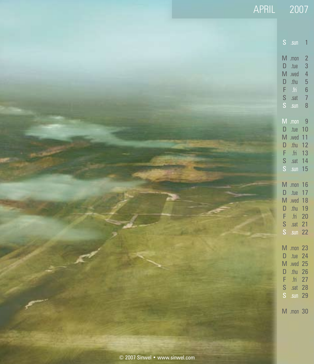|                                | APRIL 2007                                                                                                                                                                                                                                                                     |
|--------------------------------|--------------------------------------------------------------------------------------------------------------------------------------------------------------------------------------------------------------------------------------------------------------------------------|
|                                | $S$ .sun<br>$\mathbf{1}$<br>$M$ .mon<br>$\overline{2}$<br>$\mathbf{3}$<br>$D$ .tue<br>$\overline{4}$<br>M .wed<br>$\begin{array}{c} 5 \\ 6 \end{array}$<br>$.$ thu<br>$\mathsf D$<br>F.<br>$\mathsf{fri}$<br>$\overline{7}$<br>$\mathsf S$<br>.sat<br>$S$ .sun<br>$\delta$     |
|                                | $M$ .mon<br>$\overline{9}$<br>$D$ .tue 10<br>M .wed 11<br>$thu$ 12<br>$\mathsf{D}$<br>fin 13<br>F.<br>$\mathsf S$<br>$.sat$ 14<br>S .sun 15<br>M .mon 16<br>D .tue 17<br>M .wed 18<br>.thu 19<br>$\mathsf{D}$<br>F.<br>$.$ fri 20<br>$\mathsf S$<br>.sat 21<br>S<br>$.$ sun 22 |
|                                | M .mon 23<br>D .tue 24<br>M .wed 25<br>D .thu 26<br>F.<br>.fri $27$<br>S .sat 28<br>$S$ .sun 29<br>M .mon 30                                                                                                                                                                   |
| © 2007 Sinwel • www.sinwel.com |                                                                                                                                                                                                                                                                                |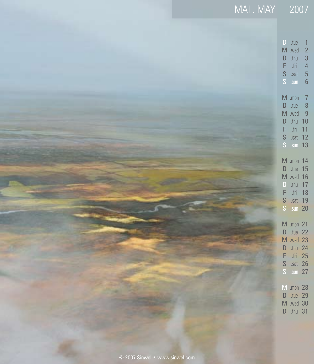| MAI. MAY 2007                  |                                                                                                                                                                                                                                        |
|--------------------------------|----------------------------------------------------------------------------------------------------------------------------------------------------------------------------------------------------------------------------------------|
|                                | $D$ .tue<br>$\mathbf{1}$<br>$\overline{c}$<br>M .wed<br>$\overline{3}$<br>$\mathsf D$<br>.thu<br>$\begin{array}{c} 4 \\ 5 \\ 6 \end{array}$<br>F<br>$\operatorname{fri}$<br>S<br>.sat<br>$\mathsf{S}^{\scriptscriptstyle\top}$<br>.sun |
|                                | $M$ .mon<br>$\overline{7}$<br>$\delta$<br>$\mathsf{D}%$<br>.tue<br>$\overline{9}$<br>M .wed<br>.thu<br>$\mathsf D$<br>10<br>$\mathsf F$<br>${\rm fri}$<br>11<br>$\mathsf{S}$<br>.sat $12$<br>$\mathsf S$<br>.sun 13                    |
|                                | M .mon 14<br>$D$ .tue 15<br>M .wed 16<br>.thu $17$<br>$\mathsf{D}%$<br>$\mathsf F$<br>.fri 18<br>$\frac{S}{S}$<br>.sat 19<br>$.$ sun 20                                                                                                |
|                                | M .mon 21<br>D .tue 22<br>M .wed 23<br>.thu $24$<br>$\mathsf{D}$<br>$\mathsf F$<br>.fri 25<br>$\mathbb S$<br>.sat 26<br>$S \sin 27$                                                                                                    |
|                                | M .mon 28<br>D .tue 29<br>M .wed 30<br>D .thu 31                                                                                                                                                                                       |
| © 2007 Sinwel · www.sinwel.com |                                                                                                                                                                                                                                        |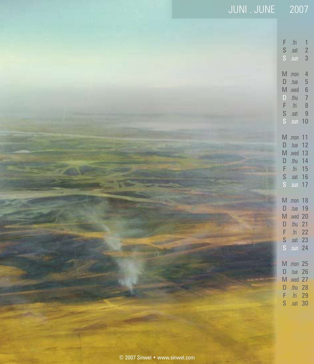| JUNI.JUNE 2007                 | $\operatorname{fri}$<br>F<br>$\mathbf{1}$<br>$\mathsf{S}$<br>$\overline{c}$<br>.sat<br>$\mathsf S$<br>$\mathfrak{Z}$<br>.sun<br>$M$ .mon<br>$\overline{4}$<br>$\mathsf D$<br>.tue |
|--------------------------------|-----------------------------------------------------------------------------------------------------------------------------------------------------------------------------------|
|                                | 5678<br>N .wed<br>$.$ thu<br>$\mathsf D$<br>F<br>$\ensuremath{\mathsf{fri}}$<br>$\frac{s}{s}$<br>9<br>.sat<br>$.$ sun 10                                                          |
|                                | M .mon 11<br>D .tue 12<br>M .wed 13<br>D .thu 14<br>.fri 15<br>F<br>$\frac{s}{s}$<br>$.sat$ 16<br>$.$ sun 17                                                                      |
|                                | M .mon 18<br>D .tue 19<br>M .wed 20<br>$thu$ 21<br>$\mathsf D$<br>F<br>.fri $22$<br>S .sat 23<br>$\mathsf S$<br>$s$ un 24                                                         |
|                                | M .mon 25<br>D .tue 26<br>M .wed 27<br>.thu 28<br>D<br>F<br>.fri 29<br>S<br>. sat 30                                                                                              |
| © 2007 Sinwel • www.sinwel.com |                                                                                                                                                                                   |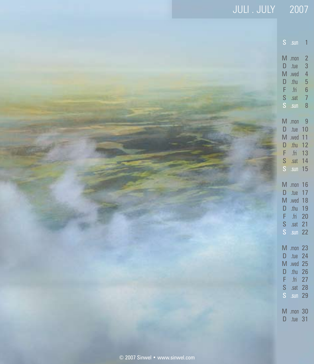| JULI.JULY 2007 |                                                                                                                                                                                                                            |
|----------------|----------------------------------------------------------------------------------------------------------------------------------------------------------------------------------------------------------------------------|
|                | S .sun 1<br>$M$ .mon<br>$\overline{2}$<br>$\begin{array}{c} 3 \\ 4 \end{array}$<br>$D$ .tue<br>M .wed<br>5<br>6<br>7<br>.thu<br>$\mathsf D$<br>$\mathsf{F} \subseteq \mathsf{fri}$<br>$\mathbb S$<br>.sat<br>$S$ .sun<br>8 |
|                | $M$ .mon<br>9<br>$\mathsf D$<br>.tue $10$<br>M .wed 11<br>D .thu 12<br>fin 13<br>F<br>$\mathbb S$<br>$.sat$ 14<br>S .sun 15                                                                                                |
|                | M .mon 16<br>.tue 17<br>$\mathsf D$<br>M .wed 18<br>.thu 19<br>$\mathsf D$<br>F .fri 20<br>S .sat 21<br>S .sun 22                                                                                                          |
|                | M .mon 23<br>.tue 24<br>$\mathsf D$<br>M .wed 25<br>D .thu 26<br>F .fri 27<br>$S$ .sat 28<br>S .sun 29                                                                                                                     |
|                | M .mon 30<br>$D$ .tue 31                                                                                                                                                                                                   |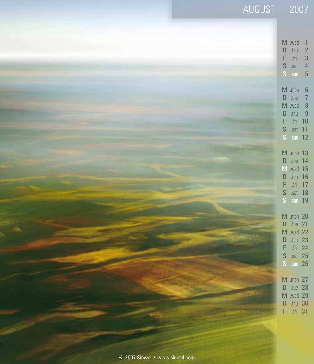|                                | AUGUST 2007 |                                                                                                                                                                                                                                          |
|--------------------------------|-------------|------------------------------------------------------------------------------------------------------------------------------------------------------------------------------------------------------------------------------------------|
|                                |             | M .wed<br>$\mathbf{1}$<br>$\overline{c}$<br>$\mathsf{D}$<br>$.$ thu<br>$\mathsf F$<br>$\operatorname{fri}$<br>3<br>$\overline{a}$<br>$\mathsf{S}$<br>.sat<br>$\overline{5}$<br>$\mathbf S$<br>.sun                                       |
|                                |             | $M$ .mon<br>$\boldsymbol{6}$<br>$\overline{7}$<br>$\mathsf{D}%$<br>.tue<br>$\overline{\phantom{a}}$<br>$M$ .wed<br>$\overline{9}$<br>$\mathsf{D}%$<br>.thu<br>$\mathsf F$<br>$\operatorname{fri}$<br>10<br>S<br>$.sat$ 11<br>$S$ .sun 12 |
|                                |             | M .mon 13<br>$\mathsf{D}%$<br>$.$ tue 14<br>M .wed 15<br>$\mathsf{D}%$<br>.thu 16<br>.fri 17<br>$\mathsf F$<br>$\mathsf{S}$<br>.sat 18<br>$\mathsf S$<br>.sun 19                                                                         |
|                                |             | M .mon 20<br>D .tue 21<br>M .wed 22<br>.thu $23$<br>$\mathsf{D}$<br>$\overline{m}$ 24<br>F<br>$\mathbf S$<br>$.sat$ 25<br>S .sun 26                                                                                                      |
|                                |             | <b>M</b> .mon 27<br>$\mathsf{D}$<br>$tue$ 28<br>M .wed 29<br>.thu $30$<br>D<br>F<br>$fin$ 31                                                                                                                                             |
| © 2007 Sinwel • www.sinwel.com |             |                                                                                                                                                                                                                                          |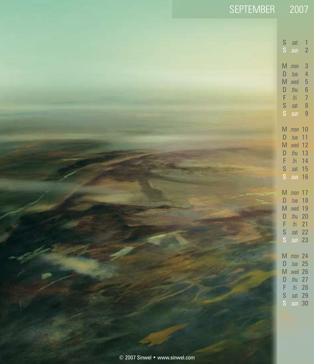| SEPTEMBER 2007                 |                                                                                                                                                                                                                                                                                 |
|--------------------------------|---------------------------------------------------------------------------------------------------------------------------------------------------------------------------------------------------------------------------------------------------------------------------------|
|                                | $\mathsf S$<br>.sat<br>$\mathbf{1}$                                                                                                                                                                                                                                             |
|                                | $\mathsf{S}^{\scriptscriptstyle\top}$<br>$\overline{2}$<br>$.$ sun<br>$M$ .mon<br>$\overline{3}$<br>$\overline{a}$<br>$\mathsf D$<br>.tue<br>M .wed<br>5<br>6<br>7<br>8<br>.thu<br>$\mathsf D$<br>F<br>$\mathop{\text{fin}}$<br>$\frac{S}{S}$<br>.sat<br>$\overline{9}$<br>.sun |
|                                | M .mon 10<br>$\mathsf{D}%$<br>.tue<br>11<br>M .wed 12<br>$thu$ 13<br>$\mathsf D$<br>.fri $14$<br>F<br>S<br>.sat 15<br>S<br>$.$ sun 16                                                                                                                                           |
|                                | M .mon 17<br>$\mathsf D$<br>$.$ tue 18<br>M .wed 19<br>$\mathsf D$<br>.thu 20<br>F<br>$fin$ 21<br>$\frac{S}{S}$<br>$.sat$ 22<br>sin 23                                                                                                                                          |
|                                | M .mon 24<br>.tue 25<br>$\mathsf D$<br>M .wed 26<br>.thu $27$<br>$\mathsf{D}%$<br>F<br>.fri 28<br>S<br>.sat $29$<br>$\mathbf S$<br>.sun 30                                                                                                                                      |
| © 2007 Sinwel • www.sinwel.com |                                                                                                                                                                                                                                                                                 |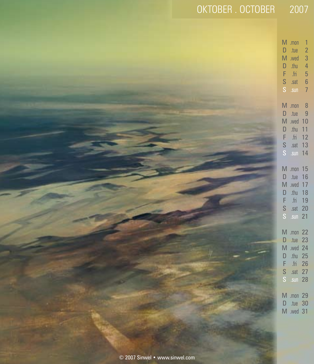| OKTOBER . OCTOBER 2007 |                                                                                                                                                                                                                                      |
|------------------------|--------------------------------------------------------------------------------------------------------------------------------------------------------------------------------------------------------------------------------------|
|                        | $M$ .mon<br>$\overline{1}$<br>$\mathsf D$<br>tue.<br>$\overline{2}$<br>$\overline{3}$<br>$M$ .wed<br>$\overline{a}$<br>.thu<br>D<br>$\overline{5}$<br>$\mathsf F$<br>${\rm fm}$<br>$\sqrt{6}$<br>$S$ .sat $S$ .sun<br>$\overline{7}$ |
|                        | $M$ .mon<br>8<br>$\overline{9}$<br>$D$ .tue<br>M .wed 10<br>.thu<br>11<br>$\mathsf{D}%$<br>.fri<br>12<br>F.<br>S .sat 13<br>S .sun 14                                                                                                |
|                        | M .mon 15<br>$D$ .tue 16<br>M .wed 17<br>$.$ thu 18<br>$\mathsf D$<br>F .fri 19<br>$S$ .sat 20<br>$S$ .sun 21                                                                                                                        |
|                        | M .mon 22<br>D .tue 23<br>M .wed 24<br>D .thu 25<br>.fri 26<br>F<br>S .sat 27<br>S .sun 28                                                                                                                                           |
|                        | M .mon 29<br>$D$ .tue 30<br>M .wed 31                                                                                                                                                                                                |
|                        |                                                                                                                                                                                                                                      |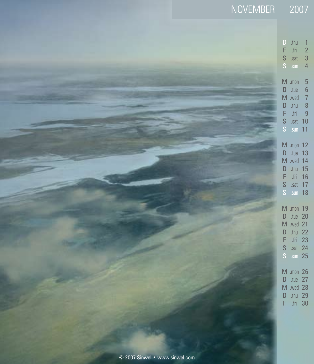| NOVEMBER 2007                  |                                                                                                                                                                                      |
|--------------------------------|--------------------------------------------------------------------------------------------------------------------------------------------------------------------------------------|
|                                | $\mathbf{D}$<br>.thu<br>$\mathbf{1}$<br>F<br>$\ensuremath{\text{fri}}$<br>$\overline{c}$<br>$\frac{S}{S}$<br>3<br>.sat<br>$\overline{4}$<br>.sun                                     |
|                                | $M$ .mon<br>5<br>6<br>7<br>D<br>.tue<br>$M$ .wed<br>$\begin{array}{c} 8 \\ 9 \end{array}$<br>$\mathsf D$<br>$.$ thu<br>F<br>$\operatorname{fri}$<br>s<br>s<br>. sat 10<br>$.$ sun 11 |
|                                | M .mon 12<br>$.$ tue 13<br>D<br>M .wed 14<br>.thu $15$<br>$\mathsf D$<br>F<br>.fri $16$<br>s<br>s<br>. sat 17<br>.sun 18                                                             |
|                                | M .mon 19<br>.tue $20$<br>$\mathsf D$<br>M .wed 21<br>.thu $22$<br>$\mathsf D$<br>$F_S$<br>.fri 23<br>.sat $24$<br>$.$ sun 25                                                        |
|                                | M .mon 26<br>.tue $27$<br>$\mathsf D$<br>M .wed 28<br>D<br>.thu $29$<br>F<br>$f$ ri 30                                                                                               |
| © 2007 Sinwel • www.sinwel.com |                                                                                                                                                                                      |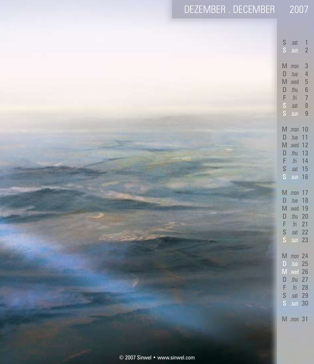| DEZEMBER.DECEMBER 2007         |                                                                                                                                  |                                                                          |                                                                                                                              |
|--------------------------------|----------------------------------------------------------------------------------------------------------------------------------|--------------------------------------------------------------------------|------------------------------------------------------------------------------------------------------------------------------|
|                                | $\begin{array}{cc} S & .sat \\ S & .sun \end{array}$<br>$M$ .mon<br>$\mathsf D$<br>$M$ .wed<br>$\mathsf D$<br>F<br>$\frac{s}{s}$ | .tue<br>.thu<br>$\ensuremath{\mathsf{fri}}$<br>.sat<br>.sun              | ۰<br>$\overline{2}$<br>$\overline{3}$<br>$\overline{a}$<br>$\begin{array}{c} 5 \\ 6 \\ 7 \end{array}$<br>8<br>$\overline{9}$ |
|                                | M .mon 10<br>$\mathsf D$<br>M .wed 12<br>$\mathsf D$<br>F<br>$\mathsf S$                                                         | .tue<br>.thu<br>.fri 14<br>S .sat 15<br>.sun 16                          | 11<br>13                                                                                                                     |
|                                | M .mon 17<br>$\mathsf D$<br>M .wed 19<br>$\mathsf D$<br>$\mathsf F$<br>$\frac{S}{S}$                                             | .tue 18<br>.thu 20<br>$\ensuremath{\text{fri}}$<br>.sat 22<br>$.$ sun 23 | 21                                                                                                                           |
|                                | M .mon 24<br>$\mathsf{D}$<br>M .wed 26<br>$\mathsf{D}%$<br>F<br>$\mathsf{S}$<br>$\mathbf S$                                      | .tue $25$<br>.thu $27$<br>.fri 28<br>.sat 29<br>.sun 30                  |                                                                                                                              |
|                                | M .mon 31                                                                                                                        |                                                                          |                                                                                                                              |
| © 2007 Sinwel • www.sinwel.com |                                                                                                                                  |                                                                          |                                                                                                                              |